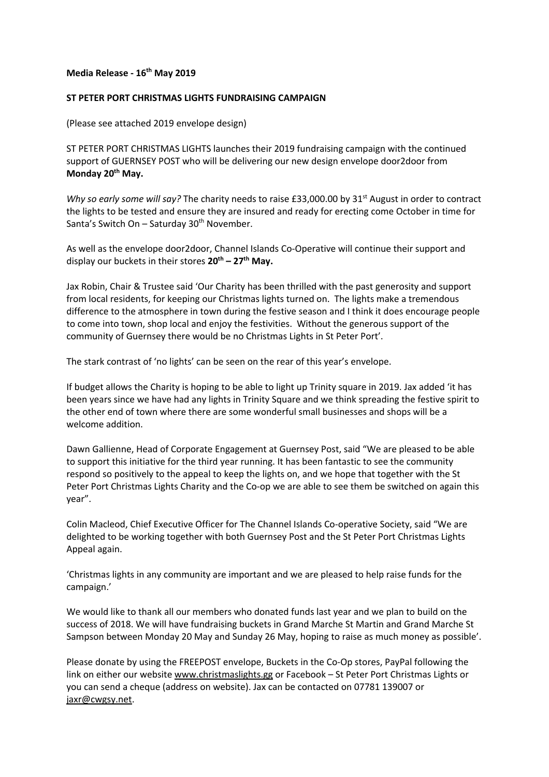## **Media Release - 16th May 2019**

## **ST PETER PORT CHRISTMAS LIGHTS FUNDRAISING CAMPAIGN**

(Please see attached 2019 envelope design)

ST PETER PORT CHRISTMAS LIGHTS launches their 2019 fundraising campaign with the continued support of GUERNSEY POST who will be delivering our new design envelope door2door from **Monday 20th May.**

*Why so early some will say?* The charity needs to raise £33,000.00 by 31<sup>st</sup> August in order to contract the lights to be tested and ensure they are insured and ready for erecting come October in time for Santa's Switch On – Saturday  $30<sup>th</sup>$  November.

As well as the envelope door2door, Channel Islands Co-Operative will continue their support and display our buckets in their stores **20th – 27th May.**

Jax Robin, Chair & Trustee said 'Our Charity has been thrilled with the past generosity and support from local residents, for keeping our Christmas lights turned on. The lights make a tremendous difference to the atmosphere in town during the festive season and I think it does encourage people to come into town, shop local and enjoy the festivities. Without the generous support of the community of Guernsey there would be no Christmas Lights in St Peter Port'.

The stark contrast of 'no lights' can be seen on the rear of this year's envelope.

If budget allows the Charity is hoping to be able to light up Trinity square in 2019. Jax added 'it has been years since we have had any lights in Trinity Square and we think spreading the festive spirit to the other end of town where there are some wonderful small businesses and shops will be a welcome addition.

Dawn Gallienne, Head of Corporate Engagement at Guernsey Post, said "We are pleased to be able to support this initiative for the third year running. It has been fantastic to see the community respond so positively to the appeal to keep the lights on, and we hope that together with the St Peter Port Christmas Lights Charity and the Co-op we are able to see them be switched on again this year".

Colin Macleod, Chief Executive Officer for The Channel Islands Co-operative Society, said "We are delighted to be working together with both Guernsey Post and the St Peter Port Christmas Lights Appeal again.

'Christmas lights in any community are important and we are pleased to help raise funds for the campaign.'

We would like to thank all our members who donated funds last year and we plan to build on the success of 2018. We will have fundraising buckets in Grand Marche St Martin and Grand Marche St Sampson between Monday 20 May and Sunday 26 May, hoping to raise as much money as possible'.

Please donate by using the FREEPOST envelope, Buckets in the Co-Op stores, PayPal following the link on either our website www.christmaslights.gg or Facebook – St Peter Port Christmas Lights or you can send a cheque (address on website). Jax can be contacted on 07781 139007 or jaxr@cwgsy.net.